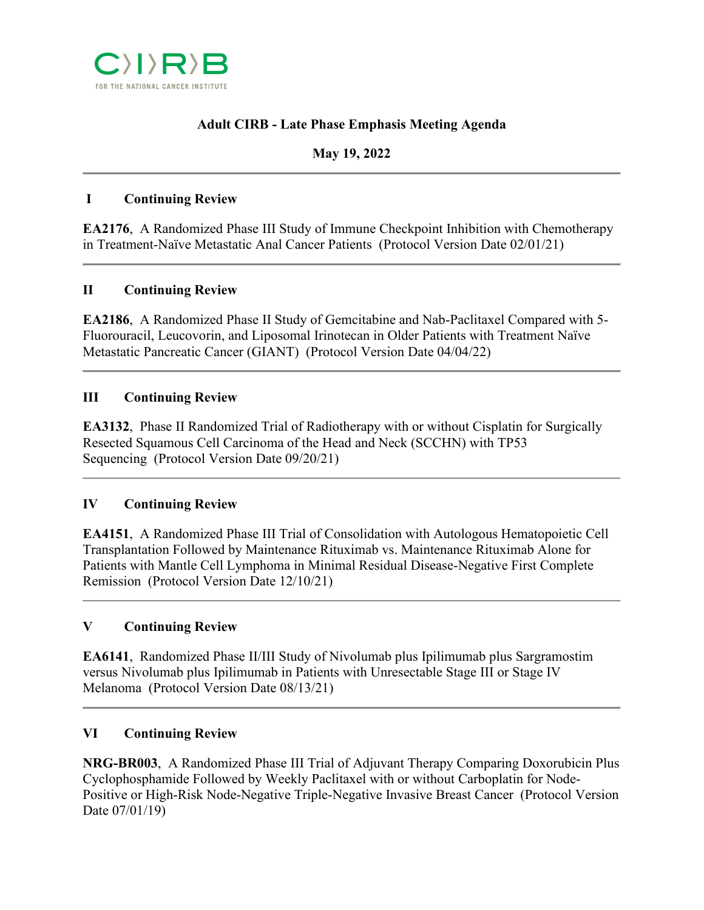

# **Adult CIRB - Late Phase Emphasis Meeting Agenda**

## **May 19, 2022**

### **I Continuing Review**

**EA2176**, A Randomized Phase III Study of Immune Checkpoint Inhibition with Chemotherapy in Treatment-Naïve Metastatic Anal Cancer Patients (Protocol Version Date 02/01/21)

### **II Continuing Review**

**EA2186**, A Randomized Phase II Study of Gemcitabine and Nab-Paclitaxel Compared with 5- Fluorouracil, Leucovorin, and Liposomal Irinotecan in Older Patients with Treatment Naïve Metastatic Pancreatic Cancer (GIANT) (Protocol Version Date 04/04/22)

## **III Continuing Review**

**EA3132**, Phase II Randomized Trial of Radiotherapy with or without Cisplatin for Surgically Resected Squamous Cell Carcinoma of the Head and Neck (SCCHN) with TP53 Sequencing (Protocol Version Date 09/20/21)

### **IV Continuing Review**

**EA4151**, A Randomized Phase III Trial of Consolidation with Autologous Hematopoietic Cell Transplantation Followed by Maintenance Rituximab vs. Maintenance Rituximab Alone for Patients with Mantle Cell Lymphoma in Minimal Residual Disease-Negative First Complete Remission (Protocol Version Date 12/10/21)

### **V Continuing Review**

**EA6141**, Randomized Phase II/III Study of Nivolumab plus Ipilimumab plus Sargramostim versus Nivolumab plus Ipilimumab in Patients with Unresectable Stage III or Stage IV Melanoma (Protocol Version Date 08/13/21)

### **VI Continuing Review**

**NRG-BR003**, A Randomized Phase III Trial of Adjuvant Therapy Comparing Doxorubicin Plus Cyclophosphamide Followed by Weekly Paclitaxel with or without Carboplatin for Node-Positive or High-Risk Node-Negative Triple-Negative Invasive Breast Cancer (Protocol Version Date 07/01/19)